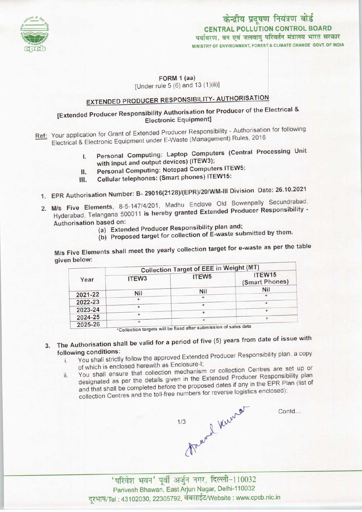

केन्द्रीय प्रदूषण नियंत्रण बोर्ड CENTRAL POLLUTION CONTROL BOARD पर्यावरण, वन एवं जलवाय परिवर्तन मंत्रालय भारत सरकार MINISTRY OF ENVIRONMENT. FOREST & CLIMATE CHANGE GOVT. OF INDIA

#### FORM 1 (aa) [Under rule 5 (6) and 13 (1)(ii)]

# EXTENDED PRODUCER RESPONSIBILITY- AUTHORISATION

## [Extended Producer Responsibility Authorisation for Producer of the Electrical & Electronic Equipment]

- Ref: Your application for Grant of Extended Producer Responsibility Authorisation for following Electrical & Electronic Equipment under E-Waste (Management) Rules, 2016
	- I. Personal Computing: Laptop Computers (Central Processing Unit with input and output devices) (ITEW3);
	- II. Personal Computing: Notepad Computers ITEW5;
	- III. Cellular telephones: (Smart phones) ITEW15:
	- 1.EPR Authorisation Number: B- 29016(212B)/(EPR)/20/WM-1ll Division Date: 26.10.2021
	- 2.M/s Five Elements, 8-5-147/4/201, Madhu Enclave Old Bowenpally Secundrabad, Hyderabad, Telangana 500011 is hereby granted Extended Producer Responsibility - Authorisation based on:
		- (a)Extended Producer Responsibility plan and;
		- (b) Proposed target for collection of E-waste submitted by them.

M/s Five Elements shall meet the yearly collection target for e-waste as per the table given below:

|         | <b>Collection Target of EEE in Weight (MT)</b> |                                                                  |                          |
|---------|------------------------------------------------|------------------------------------------------------------------|--------------------------|
| Year    | ITEW <sub>3</sub>                              | ITEW <sub>5</sub>                                                | ITEW15<br>(Smart Phones) |
|         | Nil                                            | Nil                                                              | Nil                      |
| 2021-22 |                                                | $\star$                                                          | $\star$                  |
| 2022-23 |                                                | $\star$                                                          | ÷                        |
| 2023-24 | $\star$                                        | $\star$                                                          |                          |
| 2024-25 | $\ast$                                         |                                                                  | $\star$                  |
| 2025-26 | $\star$                                        | *Collection targets will be fixed after submission of sales data |                          |

- 3. The Authorisation shall be valid for a period of five (5) years from date of issue with following conditions:
	- i. You shall strictly follow the approved Extended Producer Responsibility plan, <sup>a</sup> copy ofwhich is enclosed herewith as Enclosure-I;
	- ii. You shall ensure that collection mechanism or collection Centres are set up or designated as per the details given in the Extended Producer Responsibility plan and that shall be completed before the proposed dates if any in the EPR Plan (list of collection Centres and the toll-free numbers for reverse logistics enclosed);

Meand Kinner  $1/3$ 

Contd...

'परिवेश भवन' पूर्वी अर्जुन नगर, दिल्ली-110032 Parivesh Bhawan, East Arjun Nagar, Delhi-110032 दूरभाष/Tel : 43102030, 22305792, वेबसाईट/Website : www.cpcb.nic.in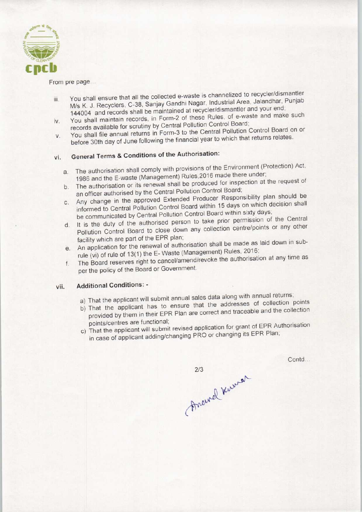

From pre page...

- iii. You shall ensure that all the collected e-waste is channelized to recycler/dismantler M/s K. J. Recyclers, C-38, Sanjay Gandhi Nagar, Industrial Area, Jalandhar, Punjab M/s K. J. Recyclers, C-38, Sanjay Garium Nagar, maddrear Arca,<br>144004 and records shall be maintained at recycler/dismantler and your end;<br>Nou shall maintain records, in Form-2 of these Rules, of e-waste and make such
- You shall maintain records, in Form-2 of these Rules, of e-waste and make such records available for scrutiny by Central Pollution Control Board;
- v. You shall maintain records, in Form-2 of these Halley, States and Technical records available for scrutiny by Central Pollution Control Board on or You shall file annual returns in Form-3 to the Central Pollution Contro before 30th day of June following the financial year to which that returns relates.

## vi. General Terms & Conditions of the Authorisation:

- a.The authorisation shall comply with provisions of the Environment (Protection) Act, 1986 and the E-waste (Management) Rules,2016 made there under;
- b. The authorisation or its renewal shall be produced for inspection at the request of an officer authorised by the Central Pollution Control Board;
- c.Any change in the approved Extended Producer Responsibility plan should be informed to Central Pollution Control Board within 15 days on which decision shall be communicated byCentral Pollution Control Board within sixty days; d.It is the duty of the authorised person to take prior permission of the Central
- It is the duty of the authorised person to take prior permission of the Central Pollution Control Board to close down any collection centre/points or any other facility which are part of the EPR plan;
- e.An application for the renewal of authorisation shall be made as laid down in subrule (vi) of rule of 13(1) the E- Waste (Management) Rules, 2016;
- f. The Board reserves right to cancel/amend/revoke the authorisation at any time as per the policy of the Board or Government.

#### vii. Additional Conditions: -

- a) That the applicant will submit annual sales data along with annual returns;
- b) That the applicant has to ensure that the addresses of collection points provided by them in their EPR Plan are correct and traceable and the collection points/centres are functional;
- c) That the applicant will submit revised application for grant of EPR Authorisation in case of applicant adding/changing PRO or changing its EPR Plan;

 $2/3$ Freund Kurner

Contd...